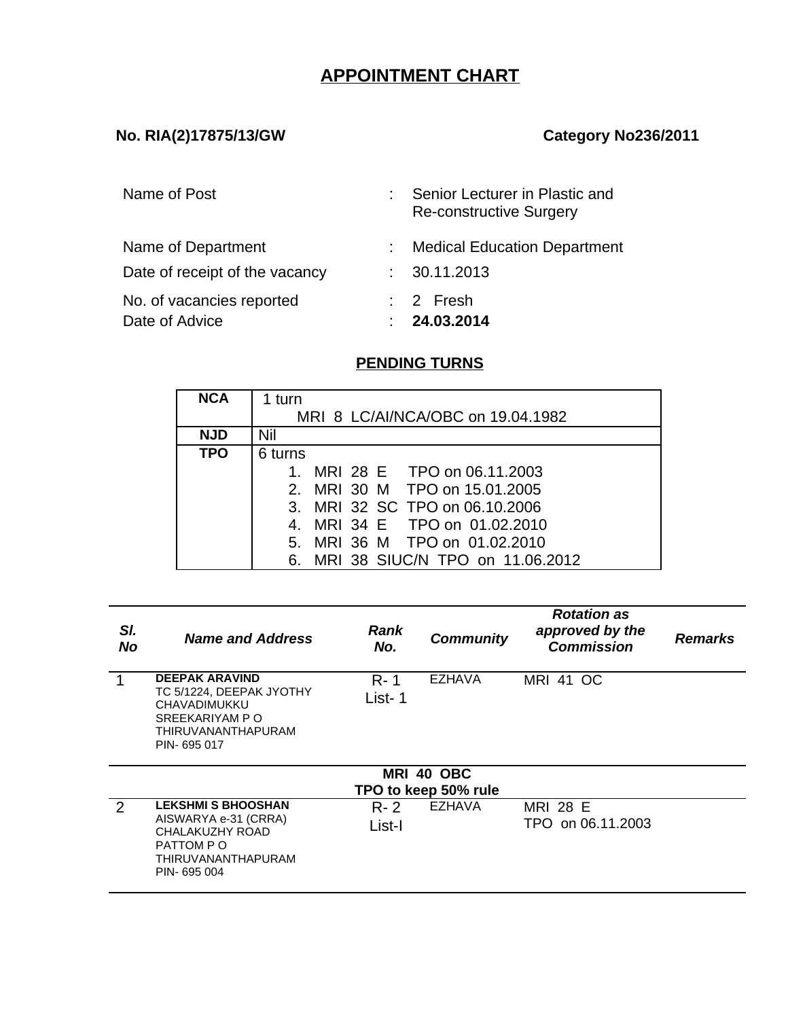# **APPOINTMENT CHART**

### **No. RIA(2)17875/13/GW Category No236/2011**

| Name of Post                                         | Senior Lecturer in Plastic and<br>Re-constructive Surgery |
|------------------------------------------------------|-----------------------------------------------------------|
| Name of Department<br>Date of receipt of the vacancy | <b>Medical Education Department</b><br>30.11.2013         |
| No. of vacancies reported<br>Date of Advice          | $\therefore$ 2 Fresh<br>24.03.2014                        |

## **PENDING TURNS**

| <b>NCA</b> | 1 turn                             |  |  |  |  |  |
|------------|------------------------------------|--|--|--|--|--|
|            | MRI 8 LC/AI/NCA/OBC on 19.04.1982  |  |  |  |  |  |
| <b>NJD</b> | Nil                                |  |  |  |  |  |
| <b>TPO</b> | 6 turns                            |  |  |  |  |  |
|            | MRI 28 E TPO on 06.11.2003         |  |  |  |  |  |
|            | 2. MRI 30 M TPO on 15.01.2005      |  |  |  |  |  |
|            | 3. MRI 32 SC TPO on 06.10.2006     |  |  |  |  |  |
|            | 4. MRI 34 E TPO on 01.02.2010      |  |  |  |  |  |
|            | 5. MRI 36 M TPO on 01.02.2010      |  |  |  |  |  |
|            | 6. MRI 38 SIUC/N TPO on 11.06.2012 |  |  |  |  |  |

| SI.<br><b>No</b> | <b>Name and Address</b>                                                                                                         | Rank<br>No.       | <b>Community</b>     | <b>Rotation as</b><br>approved by the<br><b>Commission</b> | <b>Remarks</b> |
|------------------|---------------------------------------------------------------------------------------------------------------------------------|-------------------|----------------------|------------------------------------------------------------|----------------|
| 1                | <b>DEEPAK ARAVIND</b><br>TC 5/1224, DEEPAK JYOTHY<br><b>CHAVADIMUKKU</b><br>SREEKARIYAM P O<br>THIRUVANANTHAPURAM<br>PIN-695017 | $R - 1$<br>List-1 | <b>EZHAVA</b>        | <b>MRI 41 OC</b>                                           |                |
|                  |                                                                                                                                 |                   | MRI 40 OBC           |                                                            |                |
|                  |                                                                                                                                 |                   | TPO to keep 50% rule |                                                            |                |
| 2                | <b>LEKSHMI S BHOOSHAN</b><br>AISWARYA e-31 (CRRA)<br>CHALAKUZHY ROAD<br>PATTOM P O<br>THIRUVANANTHAPURAM<br>PIN-695004          | R- 2<br>List-I    | <b>EZHAVA</b>        | <b>MRI 28 E</b><br>TPO on 06.11.2003                       |                |